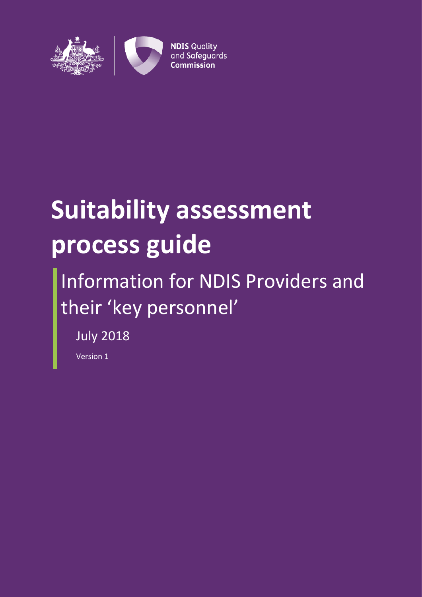

# **Suitability assessment process guide**

## Information for NDIS Providers and their 'key personnel'

July 2018

Version 1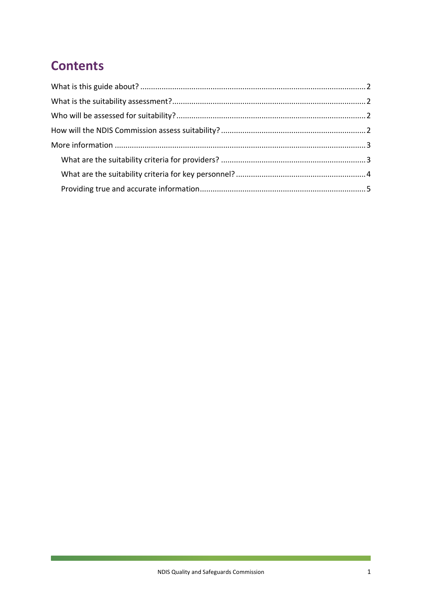## **Contents**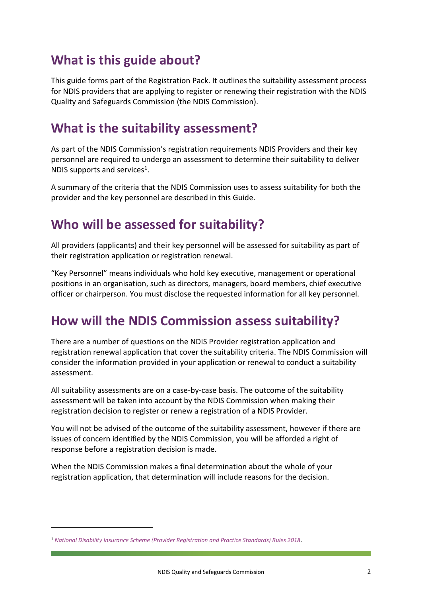## <span id="page-2-0"></span>**What is this guide about?**

This guide forms part of the Registration Pack. It outlines the suitability assessment process for NDIS providers that are applying to register or renewing their registration with the NDIS Quality and Safeguards Commission (the NDIS Commission).

## <span id="page-2-1"></span>**What is the suitability assessment?**

As part of the NDIS Commission's registration requirements NDIS Providers and their key personnel are required to undergo an assessment to determine their suitability to deliver NDIS supports and services<sup>1</sup>.

A summary of the criteria that the NDIS Commission uses to assess suitability for both the provider and the key personnel are described in this Guide.

## <span id="page-2-2"></span>**Who will be assessed for suitability?**

All providers (applicants) and their key personnel will be assessed for suitability as part of their registration application or registration renewal.

"Key Personnel" means individuals who hold key executive, management or operational positions in an organisation, such as directors, managers, board members, chief executive officer or chairperson. You must disclose the requested information for all key personnel.

## <span id="page-2-3"></span>**How will the NDIS Commission assess suitability?**

There are a number of questions on the NDIS Provider registration application and registration renewal application that cover the suitability criteria. The NDIS Commission will consider the information provided in your application or renewal to conduct a suitability assessment.

All suitability assessments are on a case-by-case basis. The outcome of the suitability assessment will be taken into account by the NDIS Commission when making their registration decision to register or renew a registration of a NDIS Provider.

You will not be advised of the outcome of the suitability assessment, however if there are issues of concern identified by the NDIS Commission, you will be afforded a right of response before a registration decision is made.

When the NDIS Commission makes a final determination about the whole of your registration application, that determination will include reasons for the decision.

<u>.</u>

<sup>1</sup> *[National Disability Insurance Scheme \(Provider Registration and Practice Standards\) Rules 2018](https://www.legislation.gov.au/Details/F2018L00631)*.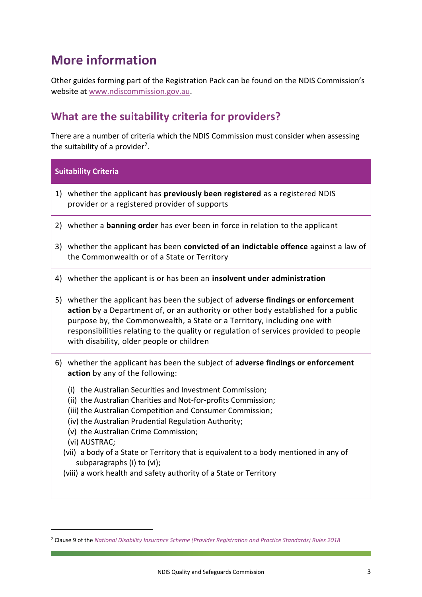## <span id="page-3-0"></span>**More information**

Other guides forming part of the Registration Pack can be found on the NDIS Commission's website at [www.ndiscommission.gov.au.](http://www.ndiscommission.gov.au/)

#### <span id="page-3-1"></span>**What are the suitability criteria for providers?**

There are a number of criteria which the NDIS Commission must consider when assessing the suitability of a provider<sup>2</sup>.

| <b>Suitability Criteria</b>                                                                                                                                                                                                                                                                                                                                                                                                                                                                                                                                                                                                |
|----------------------------------------------------------------------------------------------------------------------------------------------------------------------------------------------------------------------------------------------------------------------------------------------------------------------------------------------------------------------------------------------------------------------------------------------------------------------------------------------------------------------------------------------------------------------------------------------------------------------------|
| 1) whether the applicant has previously been registered as a registered NDIS<br>provider or a registered provider of supports                                                                                                                                                                                                                                                                                                                                                                                                                                                                                              |
| 2) whether a <b>banning order</b> has ever been in force in relation to the applicant                                                                                                                                                                                                                                                                                                                                                                                                                                                                                                                                      |
| 3) whether the applicant has been convicted of an indictable offence against a law of<br>the Commonwealth or of a State or Territory                                                                                                                                                                                                                                                                                                                                                                                                                                                                                       |
| 4) whether the applicant is or has been an insolvent under administration                                                                                                                                                                                                                                                                                                                                                                                                                                                                                                                                                  |
| 5) whether the applicant has been the subject of adverse findings or enforcement<br>action by a Department of, or an authority or other body established for a public<br>purpose by, the Commonwealth, a State or a Territory, including one with<br>responsibilities relating to the quality or regulation of services provided to people<br>with disability, older people or children                                                                                                                                                                                                                                    |
| 6) whether the applicant has been the subject of adverse findings or enforcement<br>action by any of the following:<br>(i) the Australian Securities and Investment Commission;<br>(ii) the Australian Charities and Not-for-profits Commission;<br>(iii) the Australian Competition and Consumer Commission;<br>(iv) the Australian Prudential Regulation Authority;<br>(v) the Australian Crime Commission;<br>(vi) AUSTRAC;<br>(vii) a body of a State or Territory that is equivalent to a body mentioned in any of<br>subparagraphs (i) to (vi);<br>(viii) a work health and safety authority of a State or Territory |

<u>.</u>

<sup>2</sup> Clause 9 of the *[National Disability Insurance Scheme \(Provider Registration and Practice Standards\) Rules 2018](https://www.legislation.gov.au/Details/F2018L00631)*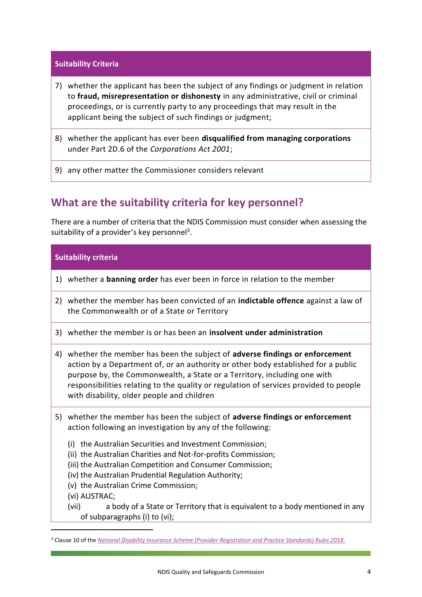#### **Suitability Criteria**

- 7) whether the applicant has been the subject of any findings or judgment in relation to **fraud, misrepresentation or dishonesty** in any administrative, civil or criminal proceedings, or is currently party to any proceedings that may result in the applicant being the subject of such findings or judgment;
- 8) whether the applicant has ever been **disqualified from managing corporations** under Part 2D.6 of the *Corporations Act 2001*;
- 9) any other matter the Commissioner considers relevant

#### <span id="page-4-0"></span>**What are the suitability criteria for key personnel?**

There are a number of criteria that the NDIS Commission must consider when assessing the suitability of a provider's key personnel<sup>3</sup>.

#### **Suitability criteria**

- 1) whether a **banning order** has ever been in force in relation to the member
- 2) whether the member has been convicted of an **indictable offence** against a law of the Commonwealth or of a State or Territory
- 3) whether the member is or has been an **insolvent under administration**
- 4) whether the member has been the subject of **adverse findings or enforcement** action by a Department of, or an authority or other body established for a public purpose by, the Commonwealth, a State or a Territory, including one with responsibilities relating to the quality or regulation of services provided to people with disability, older people and children
- 5) whether the member has been the subject of **adverse findings or enforcement** action following an investigation by any of the following:
	- (i) the Australian Securities and Investment Commission;
	- (ii) the Australian Charities and Not-for-profits Commission;
	- (iii) the Australian Competition and Consumer Commission;
	- (iv) the Australian Prudential Regulation Authority;
	- (v) the Australian Crime Commission;
	- (vi) AUSTRAC;

<u>.</u>

(vii) a body of a State or Territory that is equivalent to a body mentioned in any of subparagraphs (i) to (vi);

<sup>3</sup> Clause 10 of the *[National Disability Insurance Scheme \(Provider Registration and Practice Standards\) Rules 2018.](https://www.legislation.gov.au/Details/F2018L00631)*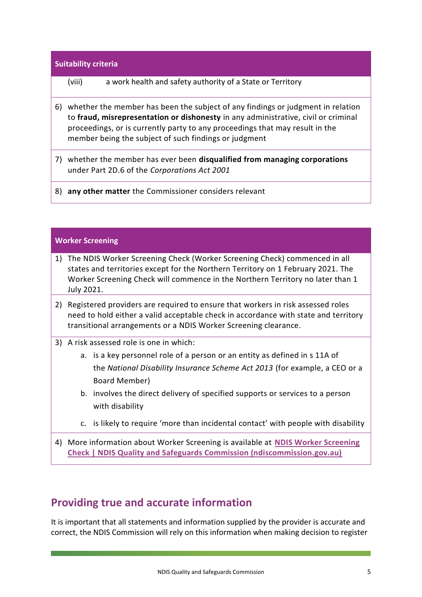## **Suitability criteria** (viii) a work health and safety authority of a State or Territory 6) whether the member has been the subject of any findings or judgment in relation to **fraud, misrepresentation or dishonesty** in any administrative, civil or criminal proceedings, or is currently party to any proceedings that may result in the member being the subject of such findings or judgment 7) whether the member has ever been **disqualified from managing corporations** under Part 2D.6 of the *Corporations Act 2001* 8) **any other matter** the Commissioner considers relevant

#### <span id="page-5-0"></span>**Worker Screening**

- 1) The NDIS Worker Screening Check (Worker Screening Check) commenced in all states and territories except for the Northern Territory on 1 February 2021. The Worker Screening Check will commence in the Northern Territory no later than 1 July 2021.
- 2) Registered providers are required to ensure that workers in risk assessed roles need to hold either a valid acceptable check in accordance with state and territory transitional arrangements or a NDIS Worker Screening clearance.
- 3) A risk assessed role is one in which:
	- a. is a key personnel role of a person or an entity as defined in s 11A of the *National Disability Insurance Scheme Act 2013* (for example, a CEO or a Board Member)
	- b. involves the direct delivery of [specified supports or services](https://www.ndiscommission.gov.au/document/891) to a person with disability
	- c. is likely to require 'more than incidental contact' with people with disability
- 4) More information about Worker Screening is available at **[NDIS Worker Screening](https://www.ndiscommission.gov.au/about/ndis-worker-screening-check)  [Check | NDIS Quality and Safeguards Commission \(ndiscommission.gov.au\)](https://www.ndiscommission.gov.au/about/ndis-worker-screening-check)**

#### **Providing true and accurate information**

It is important that all statements and information supplied by the provider is accurate and correct, the NDIS Commission will rely on this information when making decision to register